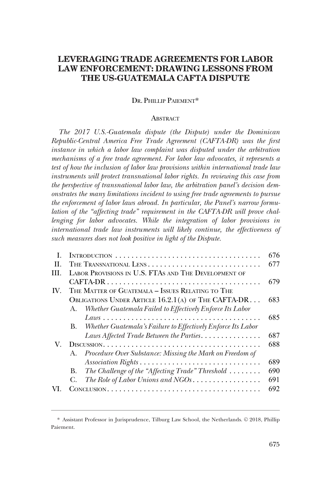# **LEVERAGING TRADE AGREEMENTS FOR LABOR LAW ENFORCEMENT: DRAWING LESSONS FROM THE US-GUATEMALA CAFTA DISPUTE**

# DR. PHILLIP PAIEMENT\*

#### **ABSTRACT**

*The 2017 U.S.-Guatemala dispute (the Dispute) under the Dominican Republic-Central America Free Trade Agreement (CAFTA-DR) was the first instance in which a labor law complaint was disputed under the arbitration mechanisms of a free trade agreement. For labor law advocates, it represents a test of how the inclusion of labor law provisions within international trade law instruments will protect transnational labor rights. In reviewing this case from the perspective of transnational labor law, the arbitration panel's decision demonstrates the many limitations incident to using free trade agreements to pursue the enforcement of labor laws abroad. In particular, the Panel's narrow formulation of the "affecting trade" requirement in the CAFTA-DR will prove challenging for labor advocates. While the integration of labor provisions in international trade law instruments will likely continue, the effectiveness of such measures does not look positive in light of the Dispute.* 

| L   |                                                      |                                                              | 676 |
|-----|------------------------------------------------------|--------------------------------------------------------------|-----|
| H.  | THE TRANSNATIONAL LENS                               |                                                              | 677 |
| HI. | LABOR PROVISIONS IN U.S. FTAS AND THE DEVELOPMENT OF |                                                              |     |
|     |                                                      |                                                              | 679 |
| IV. | THE MATTER OF GUATEMALA - ISSUES RELATING TO THE     |                                                              |     |
|     | OBLIGATIONS UNDER ARTICLE 16.2.1(A) OF THE CAFTA-DR  |                                                              | 683 |
|     | А.                                                   | Whether Guatemala Failed to Effectively Enforce Its Labor    |     |
|     |                                                      |                                                              | 685 |
|     | B.                                                   | Whether Guatemala's Failure to Effectively Enforce Its Labor |     |
|     |                                                      | Laws Affected Trade Between the Parties                      | 687 |
| V.  |                                                      |                                                              | 688 |
|     | $A_{-}$                                              | Procedure Over Substance: Missing the Mark on Freedom of     |     |
|     |                                                      |                                                              | 689 |
|     | В.                                                   | The Challenge of the "Affecting Trade" Threshold             | 690 |
|     | C.                                                   | The Role of Labor Unions and NGOs                            | 691 |
|     |                                                      |                                                              | 692 |

<sup>\*</sup> Assistant Professor in Jurisprudence, Tilburg Law School, the Netherlands. © 2018, Phillip Paiement.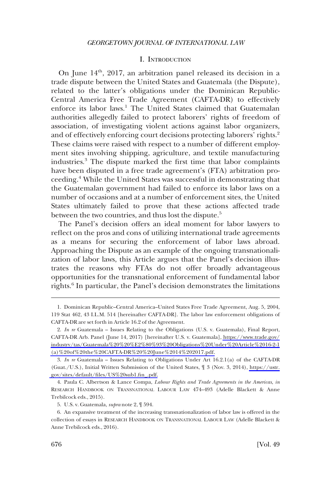#### I. INTRODUCTION

<span id="page-1-0"></span>On June  $14<sup>th</sup>$ , 2017, an arbitration panel released its decision in a trade dispute between the United States and Guatemala (the Dispute), related to the latter's obligations under the Dominican Republic-Central America Free Trade Agreement (CAFTA-DR) to effectively enforce its labor laws.<sup>1</sup> The United States claimed that Guatemalan authorities allegedly failed to protect laborers' rights of freedom of association, of investigating violent actions against labor organizers, and of effectively enforcing court decisions protecting laborers' rights.<sup>2</sup> These claims were raised with respect to a number of different employment sites involving shipping, agriculture, and textile manufacturing industries.3 The dispute marked the first time that labor complaints have been disputed in a free trade agreement's (FTA) arbitration proceeding.4 While the United States was successful in demonstrating that the Guatemalan government had failed to enforce its labor laws on a number of occasions and at a number of enforcement sites, the United States ultimately failed to prove that these actions affected trade between the two countries, and thus lost the dispute.<sup>5</sup>

The Panel's decision offers an ideal moment for labor lawyers to reflect on the pros and cons of utilizing international trade agreements as a means for securing the enforcement of labor laws abroad. Approaching the Dispute as an example of the ongoing transnationalization of labor laws, this Article argues that the Panel's decision illustrates the reasons why FTAs do not offer broadly advantageous opportunities for the transnational enforcement of fundamental labor rights.<sup>6</sup> In particular, the Panel's decision demonstrates the limitations

<sup>1.</sup> Dominican Republic–Central America–United States Free Trade Agreement, Aug. 5, 2004, 119 Stat 462, 43 I.L.M. 514 [hereinafter CAFTA-DR]. The labor law enforcement obligations of CAFTA-DR are set forth in Article 16.2 of the Agreement.

<sup>2.</sup> *In re* Guatemala – Issues Relating to the Obligations (U.S. v. Guatemala), Final Report, CAFTA-DR Arb. Panel (June 14, 2017) [hereinafter U.S. v. Guatemala], [https://www.trade.gov/](https://www.trade.gov/industry/tas/Guatemala%20%20%E2%80%93%20Obligations%20Under%20Article%2016-2-1(a)%20of%20the%20CAFTA-DR%20%20June%2014%202017.pdf)  [industry/tas/Guatemala%20%20%E2%80%93%20Obligations%20Under%20Article%2016-2-1](https://www.trade.gov/industry/tas/Guatemala%20%20%E2%80%93%20Obligations%20Under%20Article%2016-2-1(a)%20of%20the%20CAFTA-DR%20%20June%2014%202017.pdf) [\(a\)%20of%20the%20CAFTA-DR%20%20June%2014%202017.pdf.](https://www.trade.gov/industry/tas/Guatemala%20%20%E2%80%93%20Obligations%20Under%20Article%2016-2-1(a)%20of%20the%20CAFTA-DR%20%20June%2014%202017.pdf)

*In re* Guatemala – Issues Relating to Obligations Under Art 16.2.1(a) of the CAFTA-DR 3. (Guat./U.S.), Initial Written Submission of the United States, ¶ 3 (Nov. 3, 2014), [https://ustr.](https://ustr.gov/sites/default/files/US%20sub1.fin_.pdf)  [gov/sites/default/files/US%20sub1.fin\\_.pdf.](https://ustr.gov/sites/default/files/US%20sub1.fin_.pdf)

<sup>4.</sup> Paula C. Albertson & Lance Compa, *Labour Rights and Trade Agreements in the Americas*, *in*  RESEARCH HANDBOOK ON TRANSNATIONAL LABOUR LAW 474–493 (Adelle Blackett & Anne Trebilcock eds., 2015).

<sup>5.</sup> U.S. v. Guatemala, *supra* note 2, ¶ 594.

<sup>6.</sup> An expansive treatment of the increasing transnationalization of labor law is offered in the collection of essays in RESEARCH HANDBOOK ON TRANSNATIONAL LABOUR LAW (Adelle Blackett & Anne Trebilcock eds., 2016).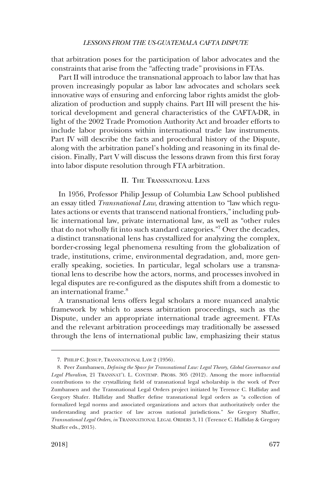<span id="page-2-0"></span>that arbitration poses for the participation of labor advocates and the constraints that arise from the "affecting trade" provisions in FTAs.

Part II will introduce the transnational approach to labor law that has proven increasingly popular as labor law advocates and scholars seek innovative ways of ensuring and enforcing labor rights amidst the globalization of production and supply chains. Part III will present the historical development and general characteristics of the CAFTA-DR, in light of the 2002 Trade Promotion Authority Act and broader efforts to include labor provisions within international trade law instruments. Part IV will describe the facts and procedural history of the Dispute, along with the arbitration panel's holding and reasoning in its final decision. Finally, Part V will discuss the lessons drawn from this first foray into labor dispute resolution through FTA arbitration.

## II. THE TRANSNATIONAL LENS

In 1956, Professor Philip Jessup of Columbia Law School published an essay titled *Transnational Law*, drawing attention to "law which regulates actions or events that transcend national frontiers," including public international law, private international law, as well as "other rules that do not wholly fit into such standard categories."7 Over the decades, a distinct transnational lens has crystallized for analyzing the complex, border-crossing legal phenomena resulting from the globalization of trade, institutions, crime, environmental degradation, and, more generally speaking, societies. In particular, legal scholars use a transnational lens to describe how the actors, norms, and processes involved in legal disputes are re-configured as the disputes shift from a domestic to an international frame.<sup>8</sup>

A transnational lens offers legal scholars a more nuanced analytic framework by which to assess arbitration proceedings, such as the Dispute, under an appropriate international trade agreement. FTAs and the relevant arbitration proceedings may traditionally be assessed through the lens of international public law, emphasizing their status

<sup>7.</sup> PHILIP C. JESSUP, TRANSNATIONAL LAW 2 (1956).

<sup>8.</sup> Peer Zumbansen, *Defining the Space for Transnational Law: Legal Theory, Global Governance and Legal Pluralism*, 21 TRANSNAT'L L. CONTEMP. PROBS. 305 (2012). Among the more influential contributions to the crystallizing field of transnational legal scholarship is the work of Peer Zumbansen and the Transnational Legal Orders project initiated by Terence C. Halliday and Gregory Shafer. Halliday and Shaffer define transnational legal orders as "a collection of formalized legal norms and associated organizations and actors that authoritatively order the understanding and practice of law across national jurisdictions." *See* Gregory Shaffer, *Transnational Legal Orders*, *in* TRANSNATIONAL LEGAL ORDERS 3, 11 (Terence C. Halliday & Gregory Shaffer eds., 2015).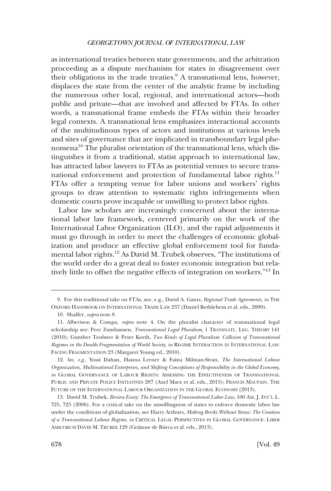as international treaties between state governments, and the arbitration proceeding as a dispute mechanism for states in disagreement over their obligations in the trade treaties. $9A$  transnational lens, however, displaces the state from the center of the analytic frame by including the numerous other local, regional, and international actors––both public and private––that are involved and affected by FTAs. In other words, a transnational frame embeds the FTAs within their broader legal contexts. A transnational lens emphasizes interactional accounts of the multitudinous types of actors and institutions at various levels and sites of governance that are implicated in transboundary legal phenomena<sup>10</sup> The pluralist orientation of the transnational lens, which distinguishes it from a traditional, statist approach to international law, has attracted labor lawyers to FTAs as potential venues to secure transnational enforcement and protection of fundamental labor rights.<sup>11</sup> FTAs offer a tempting venue for labor unions and workers' rights groups to draw attention to systematic rights infringements when domestic courts prove incapable or unwilling to protect labor rights.

Labor law scholars are increasingly concerned about the international labor law framework, centered primarily on the work of the International Labor Organization (ILO), and the rapid adjustments it must go through in order to meet the challenges of economic globalization and produce an effective global enforcement tool for fundamental labor rights.<sup>12</sup> As David M. Trubek observes, "The institutions of the world order do a great deal to foster economic integration but relatively little to offset the negative effects of integration on workers."13 In

<sup>9.</sup> For this traditional take on FTAs, see, e.g., David A. Gantz, *Regional Trade Agreements*, *in* THE OXFORD HANDBOOK ON INTERNATIONAL TRADE LAW 237 (Daniel Bethlehem et al. eds., 2009).

<sup>10.</sup> Shaffer, *supra* note 8.

<sup>11.</sup> Albertson & Compa, *supra* note 4. On the pluralist character of transnational legal scholarship see: Peer Zumbansen, *Transnational Legal Pluralism*, 1 TRANSNATL. LEG. THEORY 141 (2010); Gunther Teubner & Peter Korth, *Two Kinds of Legal Pluralism: Collision of Transnational Regimes in the Double Fragmentation of World Society*, *in* REGIME INTERACTION IN INTERNATIONAL LAW: FACING FRAGMENTATION 23 (Margaret Young ed., 2010).

<sup>12.</sup> *See, e.g*., Yossi Dahan, Hanna Lerner & Faina Milman-Sivan, *The International Labour Organization, Multinational Enterprises, and Shifting Conceptions of Responsibility in the Global Economy*, *in* GLOBAL GOVERNANCE OF LABOUR RIGHTS: ASSESSING THE EFFECTIVENESS OF TRANSNATIONAL PUBLIC AND PRIVATE POLICY INITIATIVES 287 (Axel Marx et al. eds., 2015); FRANCIS MAUPAIN, THE FUTURE OF THE INTERNATIONAL LABOUR ORGANIZATION IN THE GLOBAL ECONOMY (2013).

<sup>13.</sup> David M. Trubek, *Review Essay: The Emergence of Transnational Labor Law*, 100 AM. J. INT'L L. 725, 725 (2006). For a critical take on the unwillingness of states to enforce domestic labor law under the conditions of globalization, see Harry Arthurs, *Making Bricks Without Straw: The Creation of a Transnational Labour Regime*, *in* CRITICAL LEGAL PERSPECTIVES IN GLOBAL GOVERNANCE: LIBER AMICORUM DAVID M. TRUBEK 129 (Gráinne de Búrca et al. eds., 2013).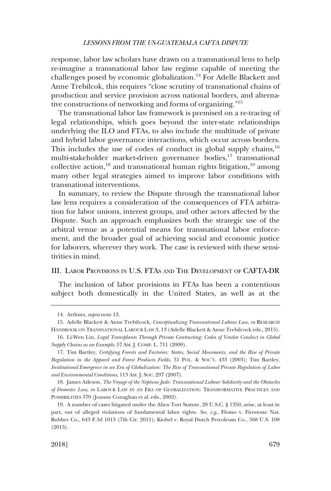<span id="page-4-0"></span>response, labor law scholars have drawn on a transnational lens to help re-imagine a transnational labor law regime capable of meeting the challenges posed by economic globalization.14 For Adelle Blackett and Anne Trebilcok, this requires "close scrutiny of transnational chains of production and service provision across national borders, and alternative constructions of networking and forms of organizing."<sup>15</sup>

The transnational labor law framework is premised on a re-tracing of legal relationships, which goes beyond the inter-state relationships underlying the ILO and FTAs, to also include the multitude of private and hybrid labor governance interactions, which occur across borders. This includes the use of codes of conduct in global supply chains,  $16$ multi-stakeholder market-driven governance bodies,<sup>17</sup> transnational collective action,<sup>18</sup> and transnational human rights litigation,<sup>19</sup> among many other legal strategies aimed to improve labor conditions with transnational interventions.

In summary, to review the Dispute through the transnational labor law lens requires a consideration of the consequences of FTA arbitration for labor unions, interest groups, and other actors affected by the Dispute. Such an approach emphasizes both the strategic use of the arbitral venue as a potential means for transnational labor enforcement, and the broader goal of achieving social and economic justice for laborers, wherever they work. The case is reviewed with these sensitivities in mind.

#### III. LABOR PROVISIONS IN U.S. FTAS AND THE DEVELOPMENT OF CAFTA-DR

The inclusion of labor provisions in FTAs has been a contentious subject both domestically in the United States, as well as at the

18. James Atleson, *The Voyage of the Neptune Jade: Transnational Labour Solidarity and the Obstacles of Domestic Law*, *in* LABOUR LAW IN AN ERA OF GLOBALIZATION: TRANSFORMATIVE PRACTICES AND POSSIBILITIES 379 (Joanne Conaghan et al. eds., 2002).

<sup>14.</sup> Arthurs, *supra* note 13.

<sup>15.</sup> Adelle Blackett & Anne Trebilcock, *Conceptualizing Transnational Labour Law*, *in* RESEARCH HANDBOOK ON TRANSNATIONAL LABOUR LAW 3, 13 (Adelle Blackett & Anne Trebilcock eds., 2015).

<sup>16.</sup> Li-Wen Lin, *Legal Transplants Through Private Contracting: Codes of Vendor Conduct in Global Supply Chains as an Example*, 57 AM. J. COMP. L. 711 (2009).

<sup>17.</sup> Tim Bartley, *Certifying Forests and Factories: States, Social Movements, and the Rise of Private Regulation in the Apparel and Forest Products Fields*, 31 POL. & SOC'Y. 433 (2003); Tim Bartley, *Institutional Emergence in an Era of Globalization: The Rise of Transnational Private Regulation of Labor and Environmental Conditions*, 113 AM. J. SOC. 297 (2007).

<sup>19.</sup> A number of cases litigated under the Alien Tort Statute, 28 U.S.C. § 1350, arise, at least in part, out of alleged violations of fundamental labor rights. *See, e.g*., Flomo v. Firestone Nat. Rubber Co., 643 F.3d 1013 (7th Cir. 2011); Kiobel v. Royal Dutch Petroleum Co., 568 U.S. 108 (2013).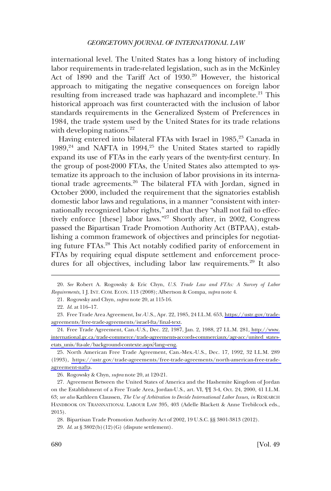international level. The United States has a long history of including labor requirements in trade-related legislation, such as in the McKinley Act of 1890 and the Tariff Act of 1930.<sup>20</sup> However, the historical approach to mitigating the negative consequences on foreign labor resulting from increased trade was haphazard and incomplete.<sup>21</sup> This historical approach was first counteracted with the inclusion of labor standards requirements in the Generalized System of Preferences in 1984, the trade system used by the United States for its trade relations with developing nations. $^{22}$ 

Having entered into bilateral FTAs with Israel in 1985,<sup>23</sup> Canada in  $1989,^{24}$  and NAFTA in  $1994,^{25}$  the United States started to rapidly expand its use of FTAs in the early years of the twenty-first century. In the group of post-2000 FTAs, the United States also attempted to systematize its approach to the inclusion of labor provisions in its international trade agreements.26 The bilateral FTA with Jordan, signed in October 2000, included the requirement that the signatories establish domestic labor laws and regulations, in a manner "consistent with internationally recognized labor rights," and that they "shall not fail to effectively enforce [these] labor laws."<sup>27</sup> Shortly after, in 2002, Congress passed the Bipartisan Trade Promotion Authority Act (BTPAA), establishing a common framework of objectives and principles for negotiating future FTAs.28 This Act notably codified parity of enforcement in FTAs by requiring equal dispute settlement and enforcement procedures for all objectives, including labor law requirements.<sup>29</sup> It also

<sup>20.</sup> *See* Robert A. Rogowsky & Eric Chyn, *U.S. Trade Law and FTAs: A Survey of Labor Requirements*, 1 J. INT. COM. ECON. 113 (2008); Albertson & Compa, *supra* note 4.

<sup>21.</sup> Rogowsky and Chyn, *supra* note 20, at 115-16.

<sup>22.</sup> *Id*. at 116–17.

Free Trade Area Agreement, Isr.-U.S., Apr. 22, 1985, 24 I.L.M. 653, [https://ustr.gov/trade-](https://ustr.gov/trade-agreements/free-trade-agreements/israel-fta/final-text)23. [agreements/free-trade-agreements/israel-fta/final-text](https://ustr.gov/trade-agreements/free-trade-agreements/israel-fta/final-text).

Free Trade Agreement, Can.-U.S., Dec. 22, 1987, Jan. 2, 1988, 27 I.L.M. 281, [http://www.](http://www.international.gc.ca/trade-commerce/trade-agreements-accords-commerciaux/agr-acc/united_states-etats_unis/fta-ale/background-contexte.aspx?lang=eng)  24. [international.gc.ca/trade-commerce/trade-agreements-accords-commerciaux/agr-acc/united\\_states](http://www.international.gc.ca/trade-commerce/trade-agreements-accords-commerciaux/agr-acc/united_states-etats_unis/fta-ale/background-contexte.aspx?lang=eng)[etats\\_unis/fta-ale/background-contexte.aspx?lang=eng.](http://www.international.gc.ca/trade-commerce/trade-agreements-accords-commerciaux/agr-acc/united_states-etats_unis/fta-ale/background-contexte.aspx?lang=eng)

<sup>25.</sup> North American Free Trade Agreement, Can.-Mex.-U.S., Dec. 17, 1992, 32 I.L.M. 289 (1993), [https://ustr.gov/trade-agreements/free-trade-agreements/north-american-free-trade](https://ustr.gov/trade-agreements/free-trade-agreements/north-american-free-trade-agreement-nafta)[agreement-nafta](https://ustr.gov/trade-agreements/free-trade-agreements/north-american-free-trade-agreement-nafta).

<sup>26.</sup> Rogowsky & Chyn, *supra* note 20, at 120-21.

<sup>27.</sup> Agreement Between the United States of America and the Hashemite Kingdom of Jordan on the Establishment of a Free Trade Area, Jordan-U.S., art. VI, ¶¶ 3-4, Oct. 24, 2000, 41 I.L.M. 63; *see also* Kathleen Claussen, *The Use of Arbitration to Decide International Labor Issues*, *in* RESEARCH HANDBOOK ON TRANSNATIONAL LABOUR LAW 395, 403 (Adelle Blackett & Anne Trebilcock eds., 2015).

<sup>28.</sup> Bipartisan Trade Promotion Authority Act of 2002, 19 U.S.C. §§ 3801-3813 (2012).

<sup>29.</sup> *Id*. at § 3802(b)(12)(G) (dispute settlement).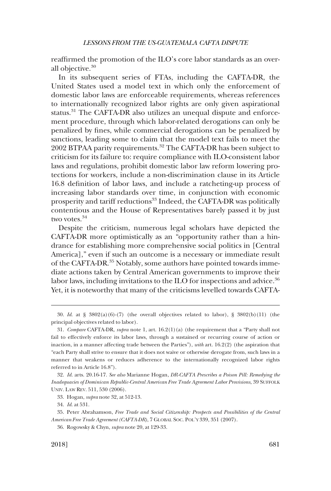reaffirmed the promotion of the ILO's core labor standards as an overall objective.<sup>30</sup>

In its subsequent series of FTAs, including the CAFTA-DR, the United States used a model text in which only the enforcement of domestic labor laws are enforceable requirements, whereas references to internationally recognized labor rights are only given aspirational status.<sup>31</sup> The CAFTA-DR also utilizes an unequal dispute and enforcement procedure, through which labor-related derogations can only be penalized by fines, while commercial derogations can be penalized by sanctions, leading some to claim that the model text fails to meet the 2002 BTPAA parity requirements.<sup>32</sup> The CAFTA-DR has been subject to criticism for its failure to: require compliance with ILO-consistent labor laws and regulations, prohibit domestic labor law reform lowering protections for workers, include a non-discrimination clause in its Article 16.8 definition of labor laws, and include a ratcheting-up process of increasing labor standards over time, in conjunction with economic prosperity and tariff reductions<sup>33</sup> Indeed, the CAFTA-DR was politically contentious and the House of Representatives barely passed it by just two votes.<sup>34</sup>

Despite the criticism, numerous legal scholars have depicted the CAFTA-DR more optimistically as an "opportunity rather than a hindrance for establishing more comprehensive social politics in [Central America]," even if such an outcome is a necessary or immediate result of the CAFTA-DR.<sup>35</sup> Notably, some authors have pointed towards immediate actions taken by Central American governments to improve their labor laws, including invitations to the ILO for inspections and advice.<sup>36</sup> Yet, it is noteworthy that many of the criticisms levelled towards CAFTA-

33. Hogan, *supra* note 32, at 512-13.

34. *Id*. at 531.

<sup>30.</sup> *Id*. at § 3802(a)(6)-(7) (the overall objectives related to labor), § 3802(b)(11) (the principal objectives related to labor).

<sup>31.</sup> *Compare* CAFTA-DR, *supra* note 1, art. 16.2(1)(a) (the requirement that a "Party shall not fail to effectively enforce its labor laws, through a sustained or recurring course of action or inaction, in a manner affecting trade between the Parties"), *with* art. 16.2(2) (the aspiration that "each Party shall strive to ensure that it does not waive or otherwise derogate from, such laws in a manner that weakens or reduces adherence to the internationally recognized labor rights referred to in Article 16.8").

<sup>32.</sup> *Id*. arts. 20.16-17. *See also* Marianne Hogan, *DR-CAFTA Prescribes a Poison Pill: Remedying the Inadequacies of Dominican Republic-Central American Free Trade Agreement Labor Provisions*, 39 SUFFOLK UNIV. LAW REV. 511, 530 (2006).

<sup>35.</sup> Peter Abrahamson, *Free Trade and Social Citizenship: Prospects and Possibilities of the Central American Free Trade Agreement (CAFTA-DR)*, 7 GLOBAL SOC. POL'Y 339, 351 (2007).

<sup>36.</sup> Rogowsky & Chyn, *supra* note 20, at 129-33.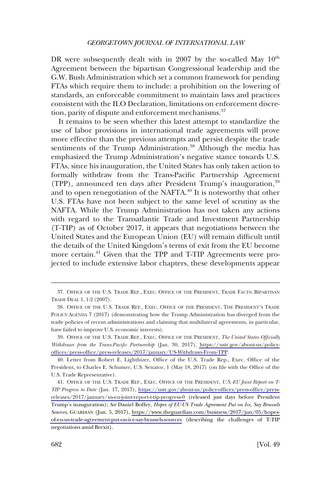DR were subsequently dealt with in 2007 by the so-called May  $10^{th}$ Agreement between the bipartisan Congressional leadership and the G.W. Bush Administration which set a common framework for pending FTAs which require them to include: a prohibition on the lowering of standards, an enforceable commitment to maintain laws and practices consistent with the ILO Declaration, limitations on enforcement discretion, parity of dispute and enforcement mechanisms.<sup>37</sup>

It remains to be seen whether this latest attempt to standardize the use of labor provisions in international trade agreements will prove more effective than the previous attempts and persist despite the trade sentiments of the Trump Administration.<sup>38</sup> Although the media has emphasized the Trump Administration's negative stance towards U.S. FTAs, since his inauguration, the United States has only taken action to formally withdraw from the Trans-Pacific Partnership Agreement (TPP), announced ten days after President Trump's inauguration,39 and to open renegotiation of the NAFTA. $^{40}$  It is noteworthy that other U.S. FTAs have not been subject to the same level of scrutiny as the NAFTA. While the Trump Administration has not taken any actions with regard to the Transatlantic Trade and Investment Partnership (T-TIP) as of October 2017, it appears that negotiations between the United States and the European Union (EU) will remain difficult until the details of the United Kingdom's terms of exit from the EU become more certain.41 Given that the TPP and T-TIP Agreements were projected to include extensive labor chapters, these developments appear

<sup>37.</sup> OFFICE OF THE U.S. TRADE REP., EXEC. OFFICE OF THE PRESIDENT, TRADE FACTS: BIPARTISAN TRADE DEAL 1, 1-2 (2007).

<sup>38.</sup> OFFICE OF THE U.S. TRADE REP., EXEC. OFFICE OF THE PRESIDENT, THE PRESIDENT'S TRADE POLICY AGENDA 7 (2017) (demonstrating how the Trump Administration has diverged from the trade policies of recent administrations and claiming that multilateral agreements, in particular, have failed to improve U.S. economic interests).

OFFICE OF THE U.S. TRADE REP., EXEC. OFFICE OF THE PRESIDENT, *The United States Officially*  39. *Withdraws from the Trans-Pacific Partnership* (Jan. 30, 2017), [https://ustr.gov/about-us/policy](https://ustr.gov/about-us/policy-offices/press-office/press-releases/2017/january/US-Withdraws-From-TPP)[offices/press-office/press-releases/2017/january/US-Withdraws-From-TPP](https://ustr.gov/about-us/policy-offices/press-office/press-releases/2017/january/US-Withdraws-From-TPP).

<sup>40.</sup> Letter from Robert E. Lighthizer, Office of the U.S. Trade Rep., Exec. Office of the President, to Charles E. Schumer, U.S. Senator, 1 (May 18, 2017) (on file with the Office of the U.S. Trade Representative).

OFFICE OF THE U.S. TRADE REP., EXEC. OFFICE OF THE PRESIDENT, *U.S.-EU Joint Report on T-*41. *TIP Progress to Date* (Jan. 17, 2017), [https://ustr.gov/about-us/policy-offices/press-office/press](https://ustr.gov/about-us/policy-offices/press-office/press-releases/2017/january/us-eu-joint-report-t-tip-progress-0)[releases/2017/january/us-eu-joint-report-t-tip-progress-0](https://ustr.gov/about-us/policy-offices/press-office/press-releases/2017/january/us-eu-joint-report-t-tip-progress-0) (released just days before President Trump's inauguration); *See* Daniel Boffey, *Hopes of EU-US Trade Agreement Put on Ice, Say Brussels Sources*, GUARDIAN (Jun. 5, 2017), [https://www.theguardian.com/business/2017/jun/05/hopes](https://www.theguardian.com/business/2017/jun/05/hopes-of-eu-us-trade-agreement-put-on-ice-say-brussels-sources)[of-eu-us-trade-agreement-put-on-ice-say-brussels-sources](https://www.theguardian.com/business/2017/jun/05/hopes-of-eu-us-trade-agreement-put-on-ice-say-brussels-sources) (describing the challenges of T-TIP negotiations amid Brexit).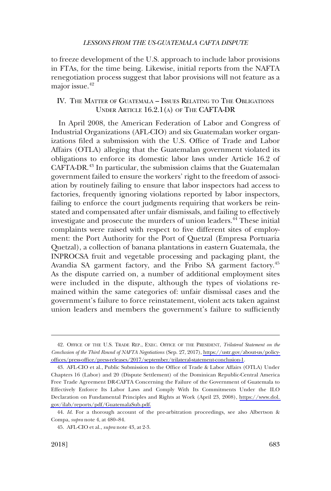<span id="page-8-0"></span>to freeze development of the U.S. approach to include labor provisions in FTAs, for the time being. Likewise, initial reports from the NAFTA renegotiation process suggest that labor provisions will not feature as a major issue.<sup>42</sup>

## IV. THE MATTER OF GUATEMALA – ISSUES RELATING TO THE OBLIGATIONS UNDER ARTICLE 16.2.1(A) OF THE CAFTA-DR

In April 2008, the American Federation of Labor and Congress of Industrial Organizations (AFL-CIO) and six Guatemalan worker organizations filed a submission with the U.S. Office of Trade and Labor Affairs (OTLA) alleging that the Guatemalan government violated its obligations to enforce its domestic labor laws under Article 16.2 of CAFTA-DR.<sup>43</sup> In particular, the submission claims that the Guatemalan government failed to ensure the workers' right to the freedom of association by routinely failing to ensure that labor inspectors had access to factories, frequently ignoring violations reported by labor inspectors, failing to enforce the court judgments requiring that workers be reinstated and compensated after unfair dismissals, and failing to effectively investigate and prosecute the murders of union leaders.<sup>44</sup> These initial complaints were raised with respect to five different sites of employment: the Port Authority for the Port of Quetzal (Empresa Portuaria Quetzal), a collection of banana plantations in eastern Guatemala, the INPROCSA fruit and vegetable processing and packaging plant, the Avandia SA garment factory, and the Fribo SA garment factory.<sup>45</sup> As the dispute carried on, a number of additional employment sites were included in the dispute, although the types of violations remained within the same categories of: unfair dismissal cases and the government's failure to force reinstatement, violent acts taken against union leaders and members the government's failure to sufficiently

OFFICE OF THE U.S. TRADE REP., EXEC. OFFICE OF THE PRESIDENT, *Trilateral Statement on the*  42. *Conclusion of the Third Round of NAFTA Negotiations* (Sep. 27, 2017), [https://ustr.gov/about-us/policy](https://ustr.gov/about-us/policy-offices/press-office/press-releases/2017/september/trilateral-statement-conclusion-1)[offices/press-office/press-releases/2017/september/trilateral-statement-conclusion-1](https://ustr.gov/about-us/policy-offices/press-office/press-releases/2017/september/trilateral-statement-conclusion-1).

AFL-CIO et al., Public Submission to the Office of Trade & Labor Affairs (OTLA) Under 43. Chapters 16 (Labor) and 20 (Dispute Settlement) of the Dominican Republic-Central America Free Trade Agreement DR-CAFTA Concerning the Failure of the Government of Guatemala to Effectively Enforce Its Labor Laws and Comply With Its Commitments Under the ILO Declaration on Fundamental Principles and Rights at Work (April 23, 2008), [https://www.dol.](https://www.dol.gov/ilab/reports/pdf/GuatemalaSub.pdf)  [gov/ilab/reports/pdf/GuatemalaSub.pdf.](https://www.dol.gov/ilab/reports/pdf/GuatemalaSub.pdf)

<sup>44.</sup> *Id*. For a thorough account of the pre-arbitration proceedings, see also Albertson & Compa, *supra* note 4, at 480–84.

<sup>45.</sup> AFL-CIO et al., *supra* note 43, at 2-3.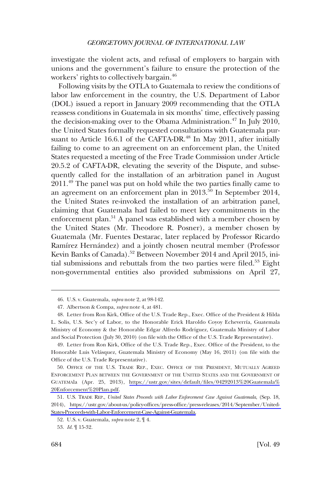investigate the violent acts, and refusal of employers to bargain with unions and the government's failure to ensure the protection of the workers' rights to collectively bargain.46

Following visits by the OTLA to Guatemala to review the conditions of labor law enforcement in the country, the U.S. Department of Labor (DOL) issued a report in January 2009 recommending that the OTLA reassess conditions in Guatemala in six months' time, effectively passing the decision-making over to the Obama Administration.<sup>47</sup> In July 2010, the United States formally requested consultations with Guatemala pursuant to Article 16.6.1 of the CAFTA-DR.<sup>48</sup> In May 2011, after initially failing to come to an agreement on an enforcement plan, the United States requested a meeting of the Free Trade Commission under Article 20.5.2 of CAFTA-DR, elevating the severity of the Dispute, and subsequently called for the installation of an arbitration panel in August 2011.49 The panel was put on hold while the two parties finally came to an agreement on an enforcement plan in  $2013$ .<sup>50</sup> In September 2014, the United States re-invoked the installation of an arbitration panel, claiming that Guatemala had failed to meet key commitments in the enforcement plan.<sup>51</sup> A panel was established with a member chosen by the United States (Mr. Theodore R. Posner), a member chosen by Guatemala (Mr. Fuentes Destarac, later replaced by Professor Ricardo Ramírez Hernández) and a jointly chosen neutral member (Professor Kevin Banks of Canada).<sup>52</sup> Between November 2014 and April 2015, initial submissions and rebuttals from the two parties were filed. $53$  Eight non-governmental entities also provided submissions on April 27,

<sup>46.</sup> U.S. v. Guatemala, *supra* note 2, at 98-142.

<sup>47.</sup> Albertson & Compa, *supra* note 4, at 481.

<sup>48.</sup> Letter from Ron Kirk, Office of the U.S. Trade Rep., Exec. Office of the President & Hilda L. Solis, U.S. Sec'y of Labor, to the Honorable Erick Haroldo Coyoy Echeverría, Guatemala Ministry of Economy & the Honorable Edgar Alfredo Rodríguez, Guatemala Ministry of Labor and Social Protection (July 30, 2010) (on file with the Office of the U.S. Trade Representative).

<sup>49.</sup> Letter from Ron Kirk, Office of the U.S. Trade Rep., Exec. Office of the President, to the Honorable Luis Velásquez, Guatemala Ministry of Economy (May 16, 2011) (on file with the Office of the U.S. Trade Representative).

<sup>50.</sup> OFFICE OF THE U.S. TRADE REP., EXEC. OFFICE OF THE PRESIDENT, MUTUALLY AGREED ENFORCEMENT PLAN BETWEEN THE GOVERNMENT OF THE UNITED STATES AND THE GOVERNMENT OF GUATEMAla (Apr. 25, 2013), [https://ustr.gov/sites/default/files/04292013%20Guatemala%](https://ustr.gov/sites/default/files/04292013%20Guatemala%20Enforcement%20Plan.pdf) [20Enforcement%20Plan.pdf.](https://ustr.gov/sites/default/files/04292013%20Guatemala%20Enforcement%20Plan.pdf)

U.S. TRADE REP., *United States Proceeds with Labor Enforcement Case Against Guatemala*, (Sep. 18, 51. 2014), [https://ustr.gov/about-us/policy-offices/press-office/press-releases/2014/September/United-](https://ustr.gov/about-us/policy-offices/press-office/press-releases/2014/September/United-States-Proceeds-with-Labor-Enforcement-Case-Against-Guatemala)[States-Proceeds-with-Labor-Enforcement-Case-Against-Guatemala.](https://ustr.gov/about-us/policy-offices/press-office/press-releases/2014/September/United-States-Proceeds-with-Labor-Enforcement-Case-Against-Guatemala)

<sup>52.</sup> U.S. v. Guatemala, *supra* note 2, ¶ 4.

<sup>53.</sup> *Id.* ¶ 15-32.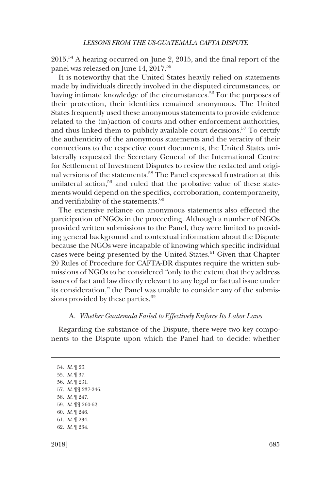<span id="page-10-0"></span>2015.54 A hearing occurred on June 2, 2015, and the final report of the panel was released on June 14, 2017.<sup>55</sup>

It is noteworthy that the United States heavily relied on statements made by individuals directly involved in the disputed circumstances, or having intimate knowledge of the circumstances.<sup>56</sup> For the purposes of their protection, their identities remained anonymous. The United States frequently used these anonymous statements to provide evidence related to the (in)action of courts and other enforcement authorities, and thus linked them to publicly available court decisions.<sup>57</sup> To certify the authenticity of the anonymous statements and the veracity of their connections to the respective court documents, the United States unilaterally requested the Secretary General of the International Centre for Settlement of Investment Disputes to review the redacted and original versions of the statements.<sup>58</sup> The Panel expressed frustration at this unilateral action,<sup>59</sup> and ruled that the probative value of these statements would depend on the specifics, corroboration, contemporaneity, and verifiability of the statements.<sup>60</sup>

The extensive reliance on anonymous statements also effected the participation of NGOs in the proceeding. Although a number of NGOs provided written submissions to the Panel, they were limited to providing general background and contextual information about the Dispute because the NGOs were incapable of knowing which specific individual cases were being presented by the United States.<sup>61</sup> Given that Chapter 20 Rules of Procedure for CAFTA-DR disputes require the written submissions of NGOs to be considered "only to the extent that they address issues of fact and law directly relevant to any legal or factual issue under its consideration," the Panel was unable to consider any of the submissions provided by these parties.<sup>62</sup>

## A. *Whether Guatemala Failed to Effectively Enforce Its Labor Laws*

Regarding the substance of the Dispute, there were two key components to the Dispute upon which the Panel had to decide: whether

54. *Id.* ¶ 26. 55. *Id*. ¶ 37. 56. *Id.* ¶ 231. 57. *Id*. ¶¶ 237-246. 58. *Id*. ¶ 247. 59. *Id*. ¶¶ 260-62. 60. *Id*. ¶ 246. 61. *Id*. ¶ 234. 62. *Id*. ¶ 234.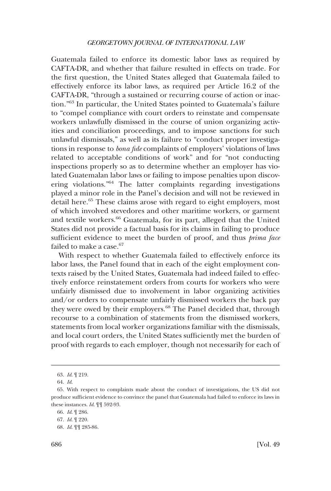Guatemala failed to enforce its domestic labor laws as required by CAFTA-DR, and whether that failure resulted in effects on trade. For the first question, the United States alleged that Guatemala failed to effectively enforce its labor laws, as required per Article 16.2 of the CAFTA-DR, "through a sustained or recurring course of action or inaction."63 In particular, the United States pointed to Guatemala's failure to "compel compliance with court orders to reinstate and compensate workers unlawfully dismissed in the course of union organizing activities and conciliation proceedings, and to impose sanctions for such unlawful dismissals," as well as its failure to "conduct proper investigations in response to *bona fide* complaints of employers' violations of laws related to acceptable conditions of work" and for "not conducting inspections properly so as to determine whether an employer has violated Guatemalan labor laws or failing to impose penalties upon discovering violations."64 The latter complaints regarding investigations played a minor role in the Panel's decision and will not be reviewed in detail here.<sup>65</sup> These claims arose with regard to eight employers, most of which involved stevedores and other maritime workers, or garment and textile workers.66 Guatemala, for its part, alleged that the United States did not provide a factual basis for its claims in failing to produce sufficient evidence to meet the burden of proof, and thus *prima face*  failed to make a case.<sup>67</sup>

With respect to whether Guatemala failed to effectively enforce its labor laws, the Panel found that in each of the eight employment contexts raised by the United States, Guatemala had indeed failed to effectively enforce reinstatement orders from courts for workers who were unfairly dismissed due to involvement in labor organizing activities and/or orders to compensate unfairly dismissed workers the back pay they were owed by their employers.<sup>68</sup> The Panel decided that, through recourse to a combination of statements from the dismissed workers, statements from local worker organizations familiar with the dismissals, and local court orders, the United States sufficiently met the burden of proof with regards to each employer, though not necessarily for each of

<sup>63.</sup> *Id*. ¶ 219.

<sup>64.</sup> *Id*.

<sup>65.</sup> With respect to complaints made about the conduct of investigations, the US did not produce sufficient evidence to convince the panel that Guatemala had failed to enforce its laws in these instances. *Id*. ¶¶ 592-93.

<sup>66.</sup> *Id*. ¶ 286.

<sup>67.</sup> *Id*. ¶ 220.

<sup>68.</sup> *Id*. ¶¶ 285-86.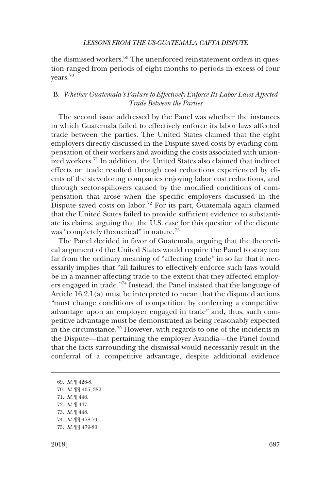<span id="page-12-0"></span>the dismissed workers. $69$  The unenforced reinstatement orders in question ranged from periods of eight months to periods in excess of four years.<sup>70</sup>

# B. *Whether Guatemala's Failure to Effectively Enforce Its Labor Laws Affected Trade Between the Parties*

The second issue addressed by the Panel was whether the instances in which Guatemala failed to effectively enforce its labor laws affected trade between the parties. The United States claimed that the eight employers directly discussed in the Dispute saved costs by evading compensation of their workers and avoiding the costs associated with unionized workers.<sup>71</sup> In addition, the United States also claimed that indirect effects on trade resulted through cost reductions experienced by clients of the stevedoring companies enjoying labor cost reductions, and through sector-spillovers caused by the modified conditions of compensation that arose when the specific employers discussed in the Dispute saved costs on labor.<sup>72</sup> For its part, Guatemala again claimed that the United States failed to provide sufficient evidence to substantiate its claims, arguing that the U.S. case for this question of the dispute was "completely theoretical" in nature.<sup>73</sup>

The Panel decided in favor of Guatemala, arguing that the theoretical argument of the United States would require the Panel to stray too far from the ordinary meaning of "affecting trade" in so far that it necessarily implies that "all failures to effectively enforce such laws would be in a manner affecting trade to the extent that they affected employers engaged in trade."74 Instead, the Panel insisted that the language of Article 16.2.1(a) must be interpreted to mean that the disputed actions "must change conditions of competition by conferring a competitive advantage upon an employer engaged in trade" and, thus, such competitive advantage must be demonstrated as being reasonably expected in the circumstance.75 However, with regards to one of the incidents in the Dispute––that pertaining the employer Avandia––the Panel found that the facts surrounding the dismissal would necessarily result in the conferral of a competitive advantage, despite additional evidence

- 71. *Id*. ¶ 446.
- 72. *Id*. ¶ 447.
- 73. *Id*. ¶ 448.
- 74. *Id*. ¶¶ 478-79. 75. *Id*. ¶¶ 479-80.

<sup>69.</sup> *Id*. ¶ 426-8.

<sup>70.</sup> *Id*. ¶¶ 405, 382.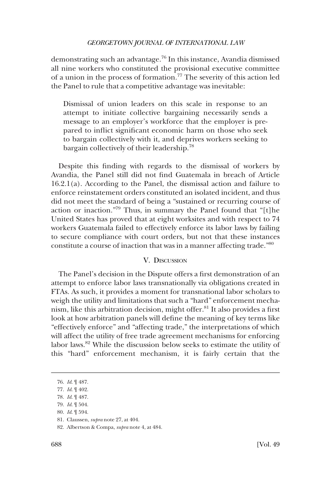<span id="page-13-0"></span>demonstrating such an advantage.76 In this instance, Avandia dismissed all nine workers who constituted the provisional executive committee of a union in the process of formation.77 The severity of this action led the Panel to rule that a competitive advantage was inevitable:

Dismissal of union leaders on this scale in response to an attempt to initiate collective bargaining necessarily sends a message to an employer's workforce that the employer is prepared to inflict significant economic harm on those who seek to bargain collectively with it, and deprives workers seeking to bargain collectively of their leadership.<sup>78</sup>

Despite this finding with regards to the dismissal of workers by Avandia, the Panel still did not find Guatemala in breach of Article 16.2.1(a). According to the Panel, the dismissal action and failure to enforce reinstatement orders constituted an isolated incident, and thus did not meet the standard of being a "sustained or recurring course of action or inaction."79 Thus, in summary the Panel found that "[t]he United States has proved that at eight worksites and with respect to 74 workers Guatemala failed to effectively enforce its labor laws by failing to secure compliance with court orders, but not that these instances constitute a course of inaction that was in a manner affecting trade."80

#### V. DISCUSSION

The Panel's decision in the Dispute offers a first demonstration of an attempt to enforce labor laws transnationally via obligations created in FTAs. As such, it provides a moment for transnational labor scholars to weigh the utility and limitations that such a "hard" enforcement mechanism, like this arbitration decision, might offer.81 It also provides a first look at how arbitration panels will define the meaning of key terms like "effectively enforce" and "affecting trade," the interpretations of which will affect the utility of free trade agreement mechanisms for enforcing labor laws.82 While the discussion below seeks to estimate the utility of this "hard" enforcement mechanism, it is fairly certain that the

<sup>76.</sup> *Id*. ¶ 487.

<sup>77.</sup> *Id*. ¶ 402.

<sup>78.</sup> *Id*. ¶ 487.

<sup>79.</sup> *Id*. ¶ 504.

<sup>80.</sup> *Id*. ¶ 594.

<sup>81.</sup> Claussen, *supra* note 27, at 404.

<sup>82.</sup> Albertson & Compa, *supra* note 4, at 484.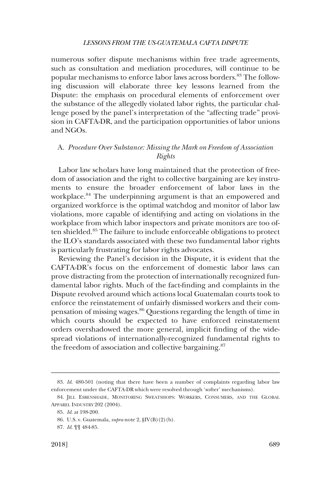<span id="page-14-0"></span>numerous softer dispute mechanisms within free trade agreements, such as consultation and mediation procedures, will continue to be popular mechanisms to enforce labor laws across borders.<sup>83</sup> The following discussion will elaborate three key lessons learned from the Dispute: the emphasis on procedural elements of enforcement over the substance of the allegedly violated labor rights, the particular challenge posed by the panel's interpretation of the "affecting trade" provision in CAFTA-DR, and the participation opportunities of labor unions and NGOs.

# A. *Procedure Over Substance: Missing the Mark on Freedom of Association Rights*

Labor law scholars have long maintained that the protection of freedom of association and the right to collective bargaining are key instruments to ensure the broader enforcement of labor laws in the workplace.<sup>84</sup> The underpinning argument is that an empowered and organized workforce is the optimal watchdog and monitor of labor law violations, more capable of identifying and acting on violations in the workplace from which labor inspectors and private monitors are too often shielded.85 The failure to include enforceable obligations to protect the ILO's standards associated with these two fundamental labor rights is particularly frustrating for labor rights advocates.

Reviewing the Panel's decision in the Dispute, it is evident that the CAFTA-DR's focus on the enforcement of domestic labor laws can prove distracting from the protection of internationally recognized fundamental labor rights. Much of the fact-finding and complaints in the Dispute revolved around which actions local Guatemalan courts took to enforce the reinstatement of unfairly dismissed workers and their compensation of missing wages.86 Questions regarding the length of time in which courts should be expected to have enforced reinstatement orders overshadowed the more general, implicit finding of the widespread violations of internationally-recognized fundamental rights to the freedom of association and collective bargaining.<sup>87</sup>

<sup>83.</sup> *Id*. 480-501 (noting that there have been a number of complaints regarding labor law enforcement under the CAFTA-DR which were resolved through 'softer' mechanisms).

<sup>84.</sup> JILL ESBENSHADE, MONITORING SWEATSHOPS: WORKERS, CONSUMERS, AND THE GLOBAL APPAREL INDUSTRY 202 (2004).

<sup>85.</sup> *Id*. at 198-200.

<sup>86.</sup> U.S. v. Guatemala, *supra* note 2, §IV(B)(2)(b).

<sup>87.</sup> *Id*. ¶¶ 484-85.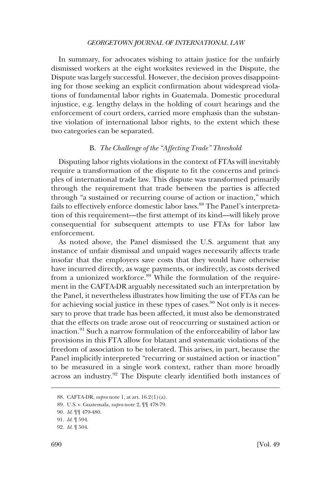<span id="page-15-0"></span>In summary, for advocates wishing to attain justice for the unfairly dismissed workers at the eight worksites reviewed in the Dispute, the Dispute was largely successful. However, the decision proves disappointing for those seeking an explicit confirmation about widespread violations of fundamental labor rights in Guatemala. Domestic procedural injustice, e.g. lengthy delays in the holding of court hearings and the enforcement of court orders, carried more emphasis than the substantive violation of international labor rights, to the extent which these two categories can be separated.

# B. *The Challenge of the "Affecting Trade" Threshold*

Disputing labor rights violations in the context of FTAs will inevitably require a transformation of the dispute to fit the concerns and principles of international trade law. This dispute was transformed primarily through the requirement that trade between the parties is affected through "a sustained or recurring course of action or inaction," which fails to effectively enforce domestic labor laws.<sup>88</sup> The Panel's interpretation of this requirement––the first attempt of its kind––will likely prove consequential for subsequent attempts to use FTAs for labor law enforcement.

As noted above, the Panel dismissed the U.S. argument that any instance of unfair dismissal and unpaid wages necessarily affects trade insofar that the employers save costs that they would have otherwise have incurred directly, as wage payments, or indirectly, as costs derived from a unionized workforce.<sup>89</sup> While the formulation of the requirement in the CAFTA-DR arguably necessitated such an interpretation by the Panel, it nevertheless illustrates how limiting the use of FTAs can be for achieving social justice in these types of cases.<sup>90</sup> Not only is it necessary to prove that trade has been affected, it must also be demonstrated that the effects on trade arose out of reoccurring or sustained action or inaction.91 Such a narrow formulation of the enforceability of labor law provisions in this FTA allow for blatant and systematic violations of the freedom of association to be tolerated. This arises, in part, because the Panel implicitly interpreted "recurring or sustained action or inaction" to be measured in a single work context, rather than more broadly across an industry.92 The Dispute clearly identified both instances of

<sup>88.</sup> CAFTA-DR, *supra* note 1, at art. 16.2(1)(a).

<sup>89.</sup> U.S. v. Guatemala, *supra* note 2, ¶¶ 478-79.

<sup>90.</sup> *Id*. ¶¶ 479-480.

<sup>91.</sup> *Id*. ¶ 594.

<sup>92.</sup> *Id*. ¶ 504.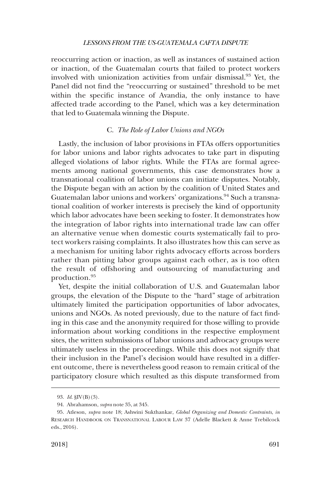<span id="page-16-0"></span>reoccurring action or inaction, as well as instances of sustained action or inaction, of the Guatemalan courts that failed to protect workers involved with unionization activities from unfair dismissal.<sup>93</sup> Yet, the Panel did not find the "reoccurring or sustained" threshold to be met within the specific instance of Avandia, the only instance to have affected trade according to the Panel, which was a key determination that led to Guatemala winning the Dispute.

## C. *The Role of Labor Unions and NGOs*

Lastly, the inclusion of labor provisions in FTAs offers opportunities for labor unions and labor rights advocates to take part in disputing alleged violations of labor rights. While the FTAs are formal agreements among national governments, this case demonstrates how a transnational coalition of labor unions can initiate disputes. Notably, the Dispute began with an action by the coalition of United States and Guatemalan labor unions and workers' organizations.<sup>94</sup> Such a transnational coalition of worker interests is precisely the kind of opportunity which labor advocates have been seeking to foster. It demonstrates how the integration of labor rights into international trade law can offer an alternative venue when domestic courts systematically fail to protect workers raising complaints. It also illustrates how this can serve as a mechanism for uniting labor rights advocacy efforts across borders rather than pitting labor groups against each other, as is too often the result of offshoring and outsourcing of manufacturing and production.<sup>95</sup>

Yet, despite the initial collaboration of U.S. and Guatemalan labor groups, the elevation of the Dispute to the "hard" stage of arbitration ultimately limited the participation opportunities of labor advocates, unions and NGOs. As noted previously, due to the nature of fact finding in this case and the anonymity required for those willing to provide information about working conditions in the respective employment sites, the written submissions of labor unions and advocacy groups were ultimately useless in the proceedings. While this does not signify that their inclusion in the Panel's decision would have resulted in a different outcome, there is nevertheless good reason to remain critical of the participatory closure which resulted as this dispute transformed from

<sup>93.</sup> *Id*. §IV(B)(3).

<sup>94.</sup> Abrahamson, *supra* note 35, at 345.

<sup>95.</sup> Atleson, *supra* note 18; Ashwini Sukthankar, *Global Organizing and Domestic Contraints*, *in*  RESEARCH HANDBOOK ON TRANSNATIONAL LABOUR LAW 37 (Adelle Blackett & Anne Trebilcock eds., 2016).